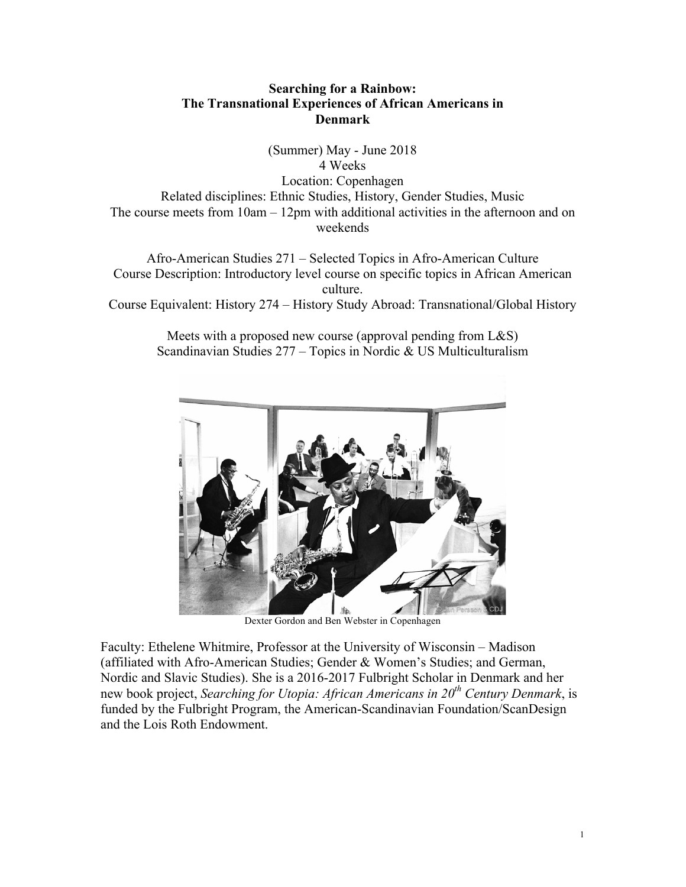#### **Searching for a Rainbow: The Transnational Experiences of African Americans in Denmark**

(Summer) May - June 2018 4 Weeks Location: Copenhagen Related disciplines: Ethnic Studies, History, Gender Studies, Music The course meets from 10am – 12pm with additional activities in the afternoon and on weekends

Afro-American Studies 271 – Selected Topics in Afro-American Culture Course Description: Introductory level course on specific topics in African American culture.

Course Equivalent: History 274 – History Study Abroad: Transnational/Global History

Meets with a proposed new course (approval pending from L&S) Scandinavian Studies 277 – Topics in Nordic & US Multiculturalism



Dexter Gordon and Ben Webster in Copenhagen

Faculty: Ethelene Whitmire, Professor at the University of Wisconsin – Madison (affiliated with Afro-American Studies; Gender & Women's Studies; and German, Nordic and Slavic Studies). She is a 2016-2017 Fulbright Scholar in Denmark and her new book project, *Searching for Utopia: African Americans in 20th Century Denmark*, is funded by the Fulbright Program, the American-Scandinavian Foundation/ScanDesign and the Lois Roth Endowment.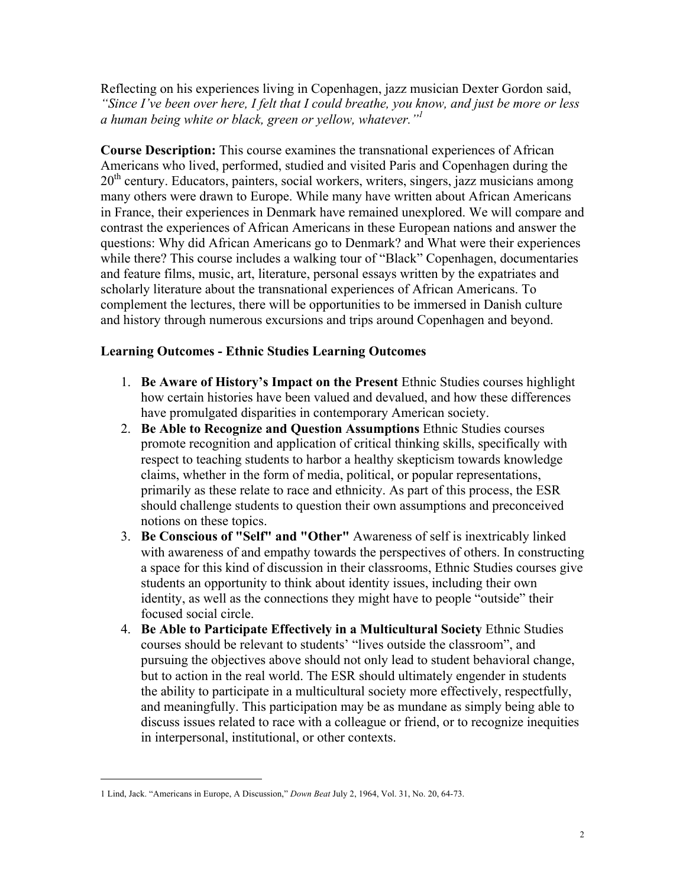Reflecting on his experiences living in Copenhagen, jazz musician Dexter Gordon said, *"Since I've been over here, I felt that I could breathe, you know, and just be more or less a human being white or black, green or yellow, whatever."1*

**Course Description:** This course examines the transnational experiences of African Americans who lived, performed, studied and visited Paris and Copenhagen during the  $20<sup>th</sup>$  century. Educators, painters, social workers, writers, singers, jazz musicians among many others were drawn to Europe. While many have written about African Americans in France, their experiences in Denmark have remained unexplored. We will compare and contrast the experiences of African Americans in these European nations and answer the questions: Why did African Americans go to Denmark? and What were their experiences while there? This course includes a walking tour of "Black" Copenhagen, documentaries and feature films, music, art, literature, personal essays written by the expatriates and scholarly literature about the transnational experiences of African Americans. To complement the lectures, there will be opportunities to be immersed in Danish culture and history through numerous excursions and trips around Copenhagen and beyond.

#### **Learning Outcomes - Ethnic Studies Learning Outcomes**

- 1. **Be Aware of History's Impact on the Present** Ethnic Studies courses highlight how certain histories have been valued and devalued, and how these differences have promulgated disparities in contemporary American society.
- 2. **Be Able to Recognize and Question Assumptions** Ethnic Studies courses promote recognition and application of critical thinking skills, specifically with respect to teaching students to harbor a healthy skepticism towards knowledge claims, whether in the form of media, political, or popular representations, primarily as these relate to race and ethnicity. As part of this process, the ESR should challenge students to question their own assumptions and preconceived notions on these topics.
- 3. **Be Conscious of "Self" and "Other"** Awareness of self is inextricably linked with awareness of and empathy towards the perspectives of others. In constructing a space for this kind of discussion in their classrooms, Ethnic Studies courses give students an opportunity to think about identity issues, including their own identity, as well as the connections they might have to people "outside" their focused social circle.
- 4. **Be Able to Participate Effectively in a Multicultural Society** Ethnic Studies courses should be relevant to students' "lives outside the classroom", and pursuing the objectives above should not only lead to student behavioral change, but to action in the real world. The ESR should ultimately engender in students the ability to participate in a multicultural society more effectively, respectfully, and meaningfully. This participation may be as mundane as simply being able to discuss issues related to race with a colleague or friend, or to recognize inequities in interpersonal, institutional, or other contexts.

l

<sup>1</sup> Lind, Jack. "Americans in Europe, A Discussion," *Down Beat* July 2, 1964, Vol. 31, No. 20, 64-73.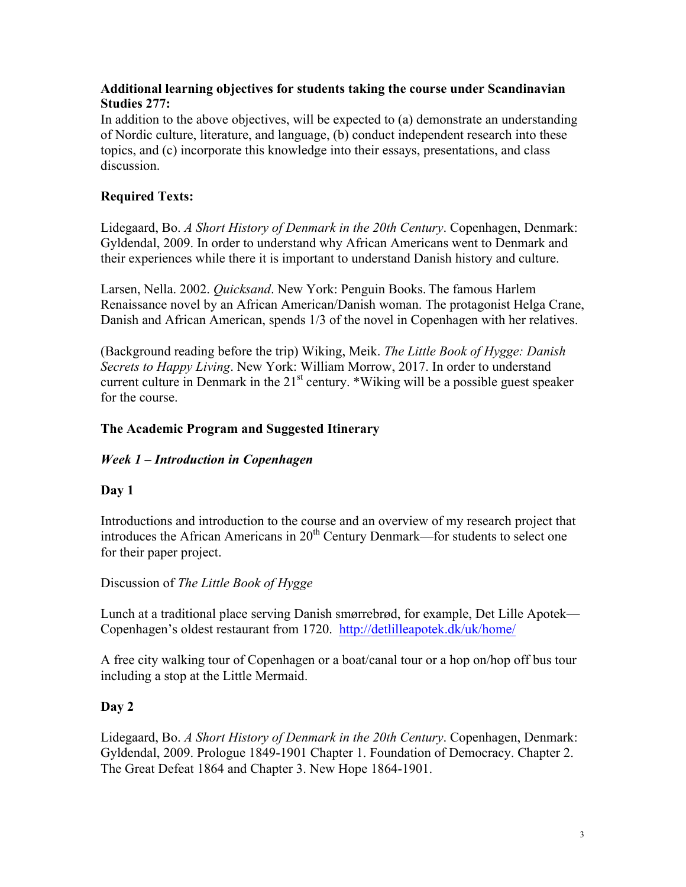#### **Additional learning objectives for students taking the course under Scandinavian Studies 277:**

In addition to the above objectives, will be expected to (a) demonstrate an understanding of Nordic culture, literature, and language, (b) conduct independent research into these topics, and (c) incorporate this knowledge into their essays, presentations, and class discussion.

### **Required Texts:**

Lidegaard, Bo. *A Short History of Denmark in the 20th Century*. Copenhagen, Denmark: Gyldendal, 2009. In order to understand why African Americans went to Denmark and their experiences while there it is important to understand Danish history and culture.

Larsen, Nella. 2002. *Quicksand*. New York: Penguin Books. The famous Harlem Renaissance novel by an African American/Danish woman. The protagonist Helga Crane, Danish and African American, spends 1/3 of the novel in Copenhagen with her relatives.

(Background reading before the trip) Wiking, Meik. *The Little Book of Hygge: Danish Secrets to Happy Living*. New York: William Morrow, 2017. In order to understand current culture in Denmark in the  $21<sup>st</sup>$  century. \*Wiking will be a possible guest speaker for the course.

### **The Academic Program and Suggested Itinerary**

#### *Week 1 – Introduction in Copenhagen*

#### **Day 1**

Introductions and introduction to the course and an overview of my research project that introduces the African Americans in  $20<sup>th</sup>$  Century Denmark—for students to select one for their paper project.

#### Discussion of *The Little Book of Hygge*

Lunch at a traditional place serving Danish smørrebrød, for example, Det Lille Apotek— Copenhagen's oldest restaurant from 1720. http://detlilleapotek.dk/uk/home/

A free city walking tour of Copenhagen or a boat/canal tour or a hop on/hop off bus tour including a stop at the Little Mermaid.

#### **Day 2**

Lidegaard, Bo. *A Short History of Denmark in the 20th Century*. Copenhagen, Denmark: Gyldendal, 2009. Prologue 1849-1901 Chapter 1. Foundation of Democracy. Chapter 2. The Great Defeat 1864 and Chapter 3. New Hope 1864-1901.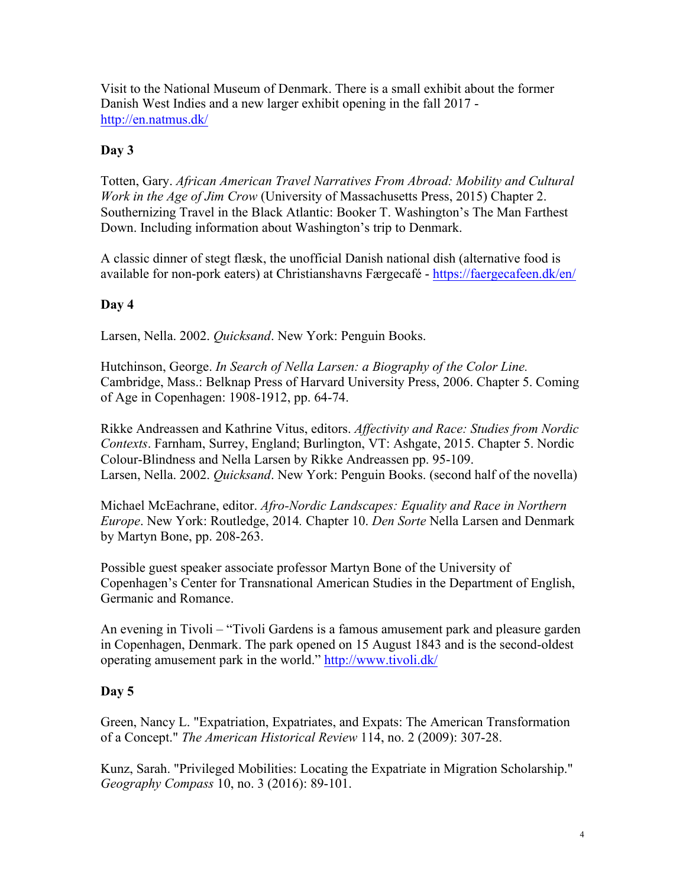Visit to the National Museum of Denmark. There is a small exhibit about the former Danish West Indies and a new larger exhibit opening in the fall 2017 http://en.natmus.dk/

### **Day 3**

Totten, Gary. *African American Travel Narratives From Abroad: Mobility and Cultural Work in the Age of Jim Crow* (University of Massachusetts Press, 2015) Chapter 2. Southernizing Travel in the Black Atlantic: Booker T. Washington's The Man Farthest Down. Including information about Washington's trip to Denmark.

A classic dinner of stegt flæsk, the unofficial Danish national dish (alternative food is available for non-pork eaters) at Christianshavns Færgecafé - https://faergecafeen.dk/en/

### **Day 4**

Larsen, Nella. 2002. *Quicksand*. New York: Penguin Books.

Hutchinson, George. *In Search of Nella Larsen: a Biography of the Color Line.* Cambridge, Mass.: Belknap Press of Harvard University Press, 2006. Chapter 5. Coming of Age in Copenhagen: 1908-1912, pp. 64-74.

Rikke Andreassen and Kathrine Vitus, editors. *Affectivity and Race: Studies from Nordic Contexts*. Farnham, Surrey, England; Burlington, VT: Ashgate, 2015. Chapter 5. Nordic Colour-Blindness and Nella Larsen by Rikke Andreassen pp. 95-109. Larsen, Nella. 2002. *Quicksand*. New York: Penguin Books. (second half of the novella)

Michael McEachrane, editor. *Afro-Nordic Landscapes: Equality and Race in Northern Europe*. New York: Routledge, 2014*.* Chapter 10. *Den Sorte* Nella Larsen and Denmark by Martyn Bone, pp. 208-263.

Possible guest speaker associate professor Martyn Bone of the University of Copenhagen's Center for Transnational American Studies in the Department of English, Germanic and Romance.

An evening in Tivoli – "Tivoli Gardens is a famous amusement park and pleasure garden in Copenhagen, Denmark. The park opened on 15 August 1843 and is the second-oldest operating amusement park in the world." http://www.tivoli.dk/

#### **Day 5**

Green, Nancy L. "Expatriation, Expatriates, and Expats: The American Transformation of a Concept." *The American Historical Review* 114, no. 2 (2009): 307-28.

Kunz, Sarah. "Privileged Mobilities: Locating the Expatriate in Migration Scholarship." *Geography Compass* 10, no. 3 (2016): 89-101.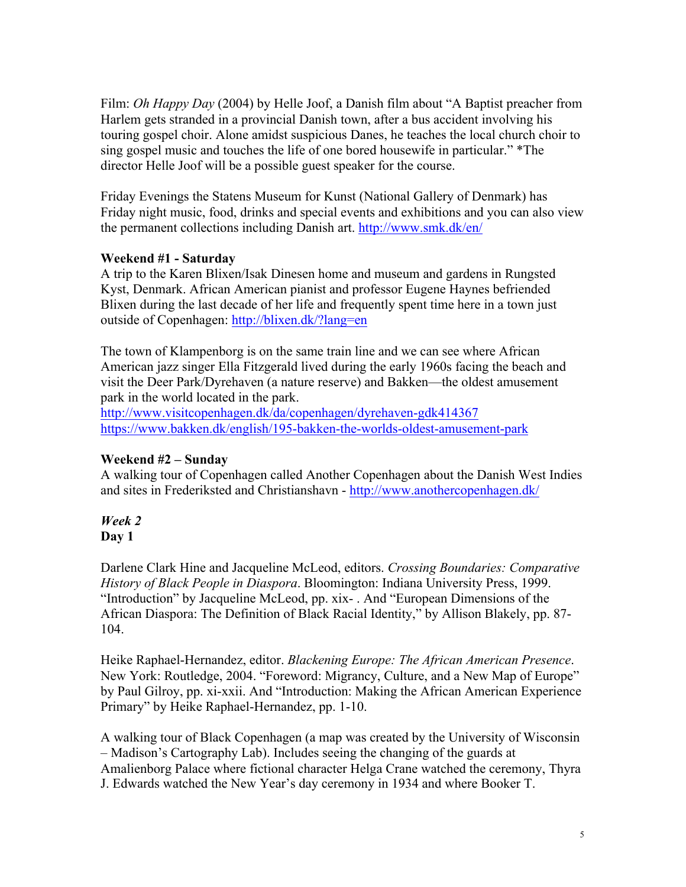Film: *Oh Happy Day* (2004) by Helle Joof, a Danish film about "A Baptist preacher from Harlem gets stranded in a provincial Danish town, after a bus accident involving his touring gospel choir. Alone amidst suspicious Danes, he teaches the local church choir to sing gospel music and touches the life of one bored housewife in particular." \*The director Helle Joof will be a possible guest speaker for the course.

Friday Evenings the Statens Museum for Kunst (National Gallery of Denmark) has Friday night music, food, drinks and special events and exhibitions and you can also view the permanent collections including Danish art. http://www.smk.dk/en/

#### **Weekend #1 - Saturday**

A trip to the Karen Blixen/Isak Dinesen home and museum and gardens in Rungsted Kyst, Denmark. African American pianist and professor Eugene Haynes befriended Blixen during the last decade of her life and frequently spent time here in a town just outside of Copenhagen: http://blixen.dk/?lang=en

The town of Klampenborg is on the same train line and we can see where African American jazz singer Ella Fitzgerald lived during the early 1960s facing the beach and visit the Deer Park/Dyrehaven (a nature reserve) and Bakken—the oldest amusement park in the world located in the park.

http://www.visitcopenhagen.dk/da/copenhagen/dyrehaven-gdk414367 https://www.bakken.dk/english/195-bakken-the-worlds-oldest-amusement-park

#### **Weekend #2 – Sunday**

A walking tour of Copenhagen called Another Copenhagen about the Danish West Indies and sites in Frederiksted and Christianshavn - http://www.anothercopenhagen.dk/

#### *Week 2* **Day 1**

Darlene Clark Hine and Jacqueline McLeod, editors. *Crossing Boundaries: Comparative History of Black People in Diaspora*. Bloomington: Indiana University Press, 1999. "Introduction" by Jacqueline McLeod, pp. xix- . And "European Dimensions of the African Diaspora: The Definition of Black Racial Identity," by Allison Blakely, pp. 87- 104.

Heike Raphael-Hernandez, editor. *Blackening Europe: The African American Presence*. New York: Routledge, 2004. "Foreword: Migrancy, Culture, and a New Map of Europe" by Paul Gilroy, pp. xi-xxii. And "Introduction: Making the African American Experience Primary" by Heike Raphael-Hernandez, pp. 1-10.

A walking tour of Black Copenhagen (a map was created by the University of Wisconsin – Madison's Cartography Lab). Includes seeing the changing of the guards at Amalienborg Palace where fictional character Helga Crane watched the ceremony, Thyra J. Edwards watched the New Year's day ceremony in 1934 and where Booker T.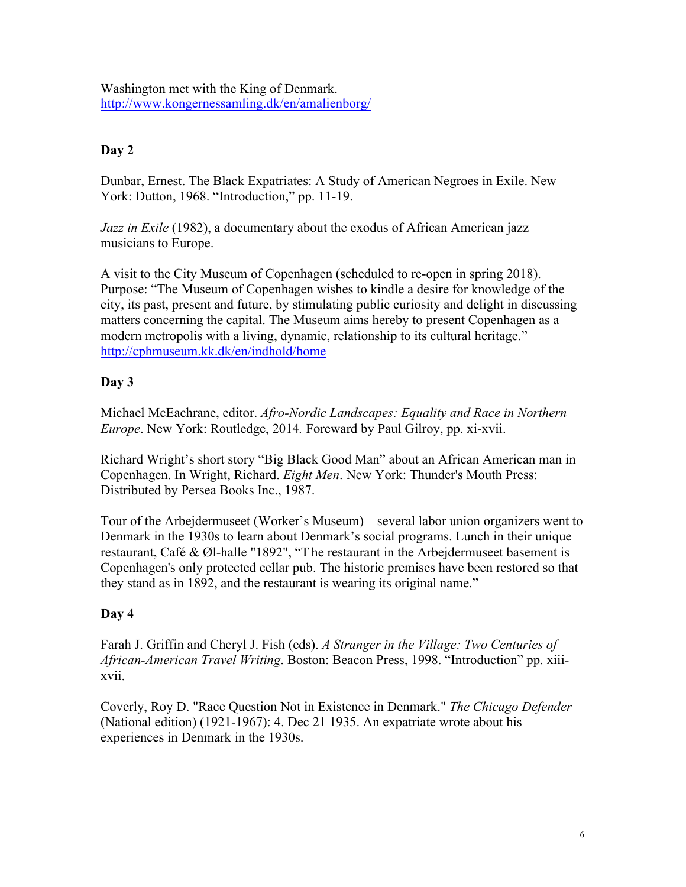Washington met with the King of Denmark. http://www.kongernessamling.dk/en/amalienborg/

# **Day 2**

Dunbar, Ernest. The Black Expatriates: A Study of American Negroes in Exile. New York: Dutton, 1968. "Introduction," pp. 11-19.

*Jazz in Exile* (1982), a documentary about the exodus of African American jazz musicians to Europe.

A visit to the City Museum of Copenhagen (scheduled to re-open in spring 2018). Purpose: "The Museum of Copenhagen wishes to kindle a desire for knowledge of the city, its past, present and future, by stimulating public curiosity and delight in discussing matters concerning the capital. The Museum aims hereby to present Copenhagen as a modern metropolis with a living, dynamic, relationship to its cultural heritage." http://cphmuseum.kk.dk/en/indhold/home

# **Day 3**

Michael McEachrane, editor. *Afro-Nordic Landscapes: Equality and Race in Northern Europe*. New York: Routledge, 2014*.* Foreward by Paul Gilroy, pp. xi-xvii.

Richard Wright's short story "Big Black Good Man" about an African American man in Copenhagen. In Wright, Richard. *Eight Men*. New York: Thunder's Mouth Press: Distributed by Persea Books Inc., 1987.

Tour of the Arbejdermuseet (Worker's Museum) – several labor union organizers went to Denmark in the 1930s to learn about Denmark's social programs. Lunch in their unique restaurant, Café & Øl-halle "1892", "T he restaurant in the Arbejdermuseet basement is Copenhagen's only protected cellar pub. The historic premises have been restored so that they stand as in 1892, and the restaurant is wearing its original name."

# **Day 4**

Farah J. Griffin and Cheryl J. Fish (eds). *A Stranger in the Village: Two Centuries of African-American Travel Writing*. Boston: Beacon Press, 1998. "Introduction" pp. xiiixvii.

Coverly, Roy D. "Race Question Not in Existence in Denmark." *The Chicago Defender* (National edition) (1921-1967): 4. Dec 21 1935. An expatriate wrote about his experiences in Denmark in the 1930s.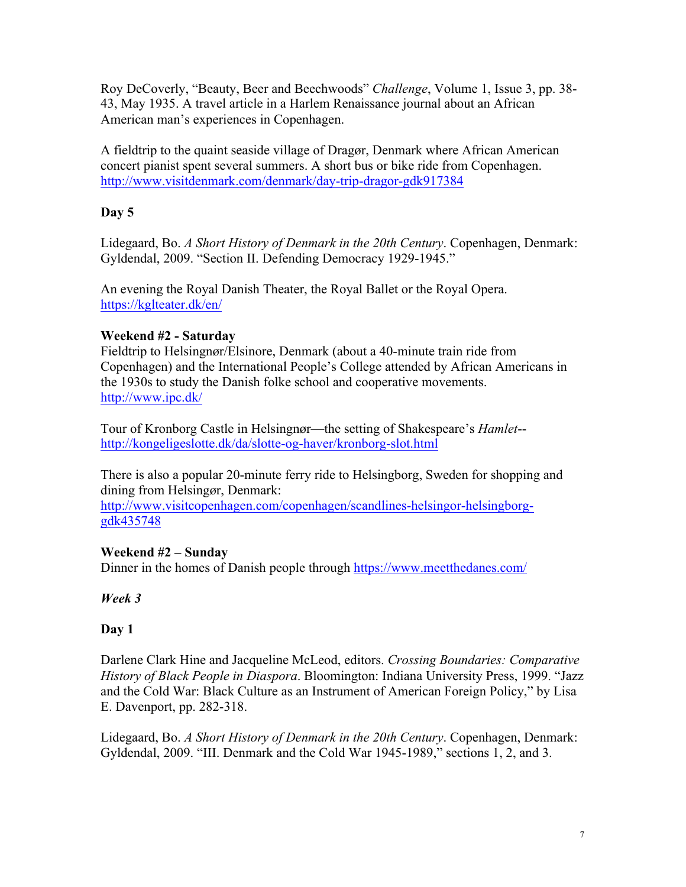Roy DeCoverly, "Beauty, Beer and Beechwoods" *Challenge*, Volume 1, Issue 3, pp. 38- 43, May 1935. A travel article in a Harlem Renaissance journal about an African American man's experiences in Copenhagen.

A fieldtrip to the quaint seaside village of Dragør, Denmark where African American concert pianist spent several summers. A short bus or bike ride from Copenhagen. http://www.visitdenmark.com/denmark/day-trip-dragor-gdk917384

# **Day 5**

Lidegaard, Bo. *A Short History of Denmark in the 20th Century*. Copenhagen, Denmark: Gyldendal, 2009. "Section II. Defending Democracy 1929-1945."

An evening the Royal Danish Theater, the Royal Ballet or the Royal Opera. https://kglteater.dk/en/

# **Weekend #2 - Saturday**

Fieldtrip to Helsingnør/Elsinore, Denmark (about a 40-minute train ride from Copenhagen) and the International People's College attended by African Americans in the 1930s to study the Danish folke school and cooperative movements. http://www.ipc.dk/

Tour of Kronborg Castle in Helsingnør—the setting of Shakespeare's *Hamlet*- http://kongeligeslotte.dk/da/slotte-og-haver/kronborg-slot.html

There is also a popular 20-minute ferry ride to Helsingborg, Sweden for shopping and dining from Helsingør, Denmark:

http://www.visitcopenhagen.com/copenhagen/scandlines-helsingor-helsingborggdk435748

# **Weekend #2 – Sunday**

Dinner in the homes of Danish people through https://www.meetthedanes.com/

# *Week 3*

# **Day 1**

Darlene Clark Hine and Jacqueline McLeod, editors. *Crossing Boundaries: Comparative History of Black People in Diaspora*. Bloomington: Indiana University Press, 1999. "Jazz and the Cold War: Black Culture as an Instrument of American Foreign Policy," by Lisa E. Davenport, pp. 282-318.

Lidegaard, Bo. *A Short History of Denmark in the 20th Century*. Copenhagen, Denmark: Gyldendal, 2009. "III. Denmark and the Cold War 1945-1989," sections 1, 2, and 3.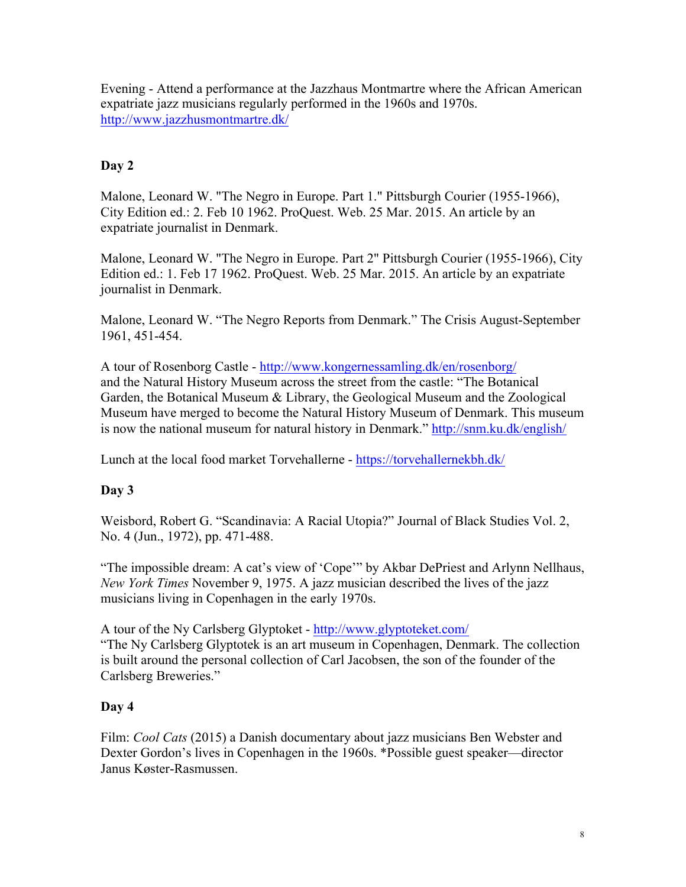Evening - Attend a performance at the Jazzhaus Montmartre where the African American expatriate jazz musicians regularly performed in the 1960s and 1970s. http://www.jazzhusmontmartre.dk/

# **Day 2**

Malone, Leonard W. "The Negro in Europe. Part 1." Pittsburgh Courier (1955-1966), City Edition ed.: 2. Feb 10 1962. ProQuest. Web. 25 Mar. 2015. An article by an expatriate journalist in Denmark.

Malone, Leonard W. "The Negro in Europe. Part 2" Pittsburgh Courier (1955-1966), City Edition ed.: 1. Feb 17 1962. ProQuest. Web. 25 Mar. 2015. An article by an expatriate journalist in Denmark.

Malone, Leonard W. "The Negro Reports from Denmark." The Crisis August-September 1961, 451-454.

A tour of Rosenborg Castle - http://www.kongernessamling.dk/en/rosenborg/ and the Natural History Museum across the street from the castle: "The Botanical Garden, the Botanical Museum & Library, the Geological Museum and the Zoological Museum have merged to become the Natural History Museum of Denmark. This museum is now the national museum for natural history in Denmark." http://snm.ku.dk/english/

Lunch at the local food market Torvehallerne - https://torvehallernekbh.dk/

# **Day 3**

Weisbord, Robert G. "Scandinavia: A Racial Utopia?" Journal of Black Studies Vol. 2, No. 4 (Jun., 1972), pp. 471-488.

"The impossible dream: A cat's view of 'Cope'" by Akbar DePriest and Arlynn Nellhaus, *New York Times* November 9, 1975. A jazz musician described the lives of the jazz musicians living in Copenhagen in the early 1970s.

A tour of the Ny Carlsberg Glyptoket - http://www.glyptoteket.com/ "The Ny Carlsberg Glyptotek is an art museum in Copenhagen, Denmark. The collection is built around the personal collection of Carl Jacobsen, the son of the founder of the Carlsberg Breweries."

# **Day 4**

Film: *Cool Cats* (2015) a Danish documentary about jazz musicians Ben Webster and Dexter Gordon's lives in Copenhagen in the 1960s. \*Possible guest speaker—director Janus Køster-Rasmussen.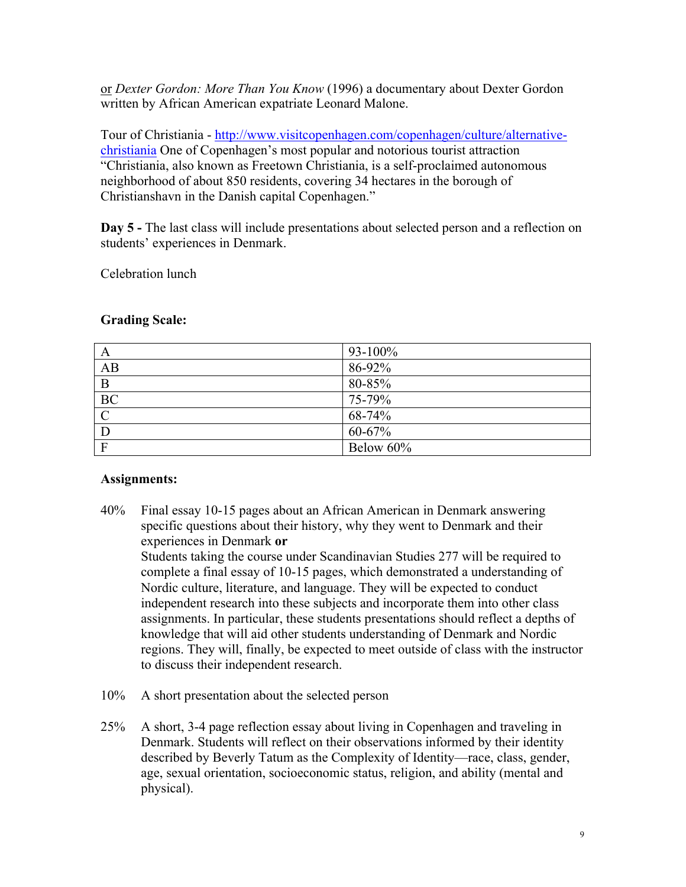or *Dexter Gordon: More Than You Know* (1996) a documentary about Dexter Gordon written by African American expatriate Leonard Malone.

Tour of Christiania - http://www.visitcopenhagen.com/copenhagen/culture/alternativechristiania One of Copenhagen's most popular and notorious tourist attraction "Christiania, also known as Freetown Christiania, is a self-proclaimed autonomous neighborhood of about 850 residents, covering 34 hectares in the borough of Christianshavn in the Danish capital Copenhagen."

**Day 5 -** The last class will include presentations about selected person and a reflection on students' experiences in Denmark.

Celebration lunch

| A           | $93 - 100\%$ |
|-------------|--------------|
| AB          | 86-92%       |
| B           | 80-85%       |
| BC          | 75-79%       |
| $\mathbf C$ | 68-74%       |
| D           | $60 - 67\%$  |
| F           | Below 60%    |

#### **Grading Scale:**

#### **Assignments:**

40% Final essay 10-15 pages about an African American in Denmark answering specific questions about their history, why they went to Denmark and their experiences in Denmark **or**

Students taking the course under Scandinavian Studies 277 will be required to complete a final essay of 10-15 pages, which demonstrated a understanding of Nordic culture, literature, and language. They will be expected to conduct independent research into these subjects and incorporate them into other class assignments. In particular, these students presentations should reflect a depths of knowledge that will aid other students understanding of Denmark and Nordic regions. They will, finally, be expected to meet outside of class with the instructor to discuss their independent research.

- 10% A short presentation about the selected person
- 25% A short, 3-4 page reflection essay about living in Copenhagen and traveling in Denmark. Students will reflect on their observations informed by their identity described by Beverly Tatum as the Complexity of Identity—race, class, gender, age, sexual orientation, socioeconomic status, religion, and ability (mental and physical).